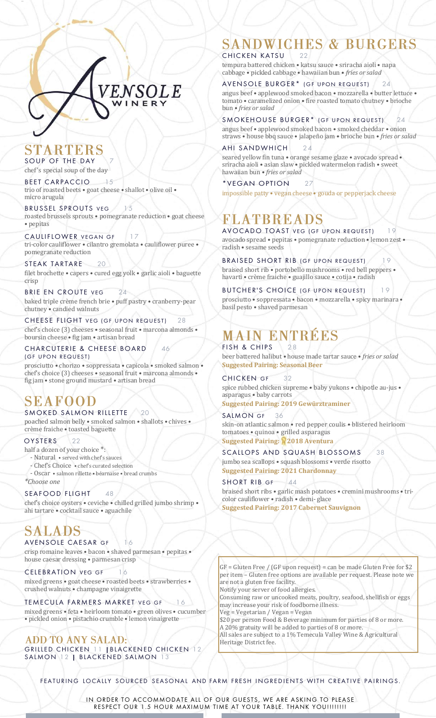# STARTERS

**SOUP** OF THE DAY chef's special soup of the day

*BEET CARPACCIO 15* trio of roasted beets • goat cheese • shallot • olive oil • micro arugula

*BRUSSEL SPROUTS VEG 15* roasted brussels sprouts • pomegranate reduction • goat cheese • pepitas

ENSOLE

WINER

**CAULIFLOWER VEGAN GF** 17 tri-color cauliflower • cilantro gremolata • cauliflower puree • pomegranate reduction

*STEAK TAR TARE 20* filet brochette • capers • cured egg yolk • garlic aioli • baguette crisp

*BRIE EN CROUTE VEG 24* baked triple crème french brie • puff pastry • cranberry-pear chutney • candied walnuts

*CHEESE FLIGHT VEG (GF U PON R EQU EST) 28* chef's choice (3) cheeses • seasonal fruit • marcona almonds • boursin cheese • fig jam • artisan bread

#### *CHARCUTERIE & CHEESE BOARD 46 (GF U PON R EQU EST)*

prosciutto • chorizo • soppressata • capicola • smoked salmon • chef's choice (3) cheeses • seasonal fruit • marcona almonds • fig jam • stone ground mustard • artisan bread

# **SEAFOOD**

### *SMOKED SALMON RILLETTE 20*

poached salmon belly • smoked salmon • shallots • chives • crème fraiche • toasted baguette

*OYSTERS 22*

half a dozen of your choice \*:

- Natural • served with chef's sauces

- Chef's Choice • chef's curated selection - Oscar • salmon rillette • béarnaise • bread crumbs

*\*Choose one*

#### *SEAFOOD FLIGHT 48*

chef's choice oysters • ceviche • chilled grilled jumbo shrimp • ahi tartare • cocktail sauce • aguachile

# **SALADS**

*AVENSOLE CAESAR GF 16* crisp romaine leaves • bacon • shaved parmesan • pepitas • house caesar dressing • parmesan crisp

## *CELEBRATION VEG GF 16* mixed greens • goat cheese • roasted beets • strawberries •

crushed walnuts • champagne vinaigrette *TEMECULA FARMERS MARKET VEG GF 16*

mixed greens • feta • heirloom tomato • green olives • cucumber • pickled onion • pistachio crumble • lemon vinaigrette

### **ADD TO ANY SALAD:** *GRILLED CHICKEN 11 | BLACKENED CHICKEN 12*

*SALMON 12 | BLACKENED SALMON 13*

# **SANDWICHES & BURGERS**

*CHICKEN KATSU 22* tempura battered chicken • katsu sauce • sriracha aioli • napa cabbage • pickled cabbage • hawaiian bun • *fries or salad*

### *AVENSOLE BURGER\* ( GF U PON R EQU EST ) 24*

angus beef • applewood smoked bacon • mozzarella • butter lettuce • tomato • caramelized onion • fire roasted tomato chutney • brioche bun • *fries or salad*

### **SMOKEHOUSE BURGER\*** (GF UPON REQUEST) 24

angus beef • applewood smoked bacon • smoked cheddar • onion straws • house bbq sauce • jalapeño jam • brioche bun • *fries or salad*

#### *AHI SANDWHICH 24*

seared yellow fin tuna · orange sesame glaze · avocado spread · sriracha aioli • asian slaw • pickled watermelon radish • sweet hawaiian bun • *fries or salad*

*\*VEGAN OPTION 27* impossible patty • vegan cheese • gouda or pepperjack cheese

# FLATBREADS

**AVOCADO TOAST VEG (GF UPON REQUEST)** avocado spread • pepitas • pomegranate reduction • lemon zest • radish • sesame seeds

**BRAISED SHORT RIB** *(GF UPON REQUEST)* 19

braised short rib • portobello mushrooms • red bell peppers • havarti • crème fraiche • guajillo sauce • cotija • radish

#### **BUTCHER'S CHOICE** *(GF UPON REQUEST)* 19

prosciutto • soppressata • bacon • mozzarella • spicy marinara • basil pesto • shaved parmesan

## **MAIN ENTRÉES** *FISH & CHIPS 28*

beer battered halibut • house made tartar sauce • *fries or salad* **Suggested Pairing: Seasonal Beer**

#### *CHICKEN G F 32*

spice rubbed chicken supreme • baby yukons • chipotle au-jus • asparagus • baby carrots **Suggested Pairing: 2019 Gewürztraminer**

## *SALMON GF 36* skin-on atlantic salmon • red pepper coulis • blistered heirloom

tomatoes • quinoa • grilled asparagus **Suggested Pairing: 2018 Aventura** 

## *SCALLOPS AND SQUASH BLOSSOMS 38*

jumbo sea scallops • squash blossoms • verde risotto **Suggested Pairing: 2021 Chardonnay**

*SHORT RIB GF 44* braised short ribs • garlic mash potatoes • cremini mushrooms • tricolor cauliflower • radish • demi- glace **Suggested Pairing: 2017 Cabernet Sauvignon**

GF = Gluten Free / (GF upon request) = can be made Gluten Free for \$2

per item – Gluten free options are available per request. Please note we are not a gluten free facility. Notify your server of food allergies.

Consuming raw or uncooked meats, poultry, seafood, shellfish or eggs may increase your risk of foodborne illness.

Veg = Vegetarian / Vegan = Vegan \$20 per person Food & Beverage minimum for parties of 8 or more. A 20% gratuity will be added to parties of 8 or more. All sales are subject to a 1% Temecula Valley Wine & Agricultural Heritage District fee.

*F EA TURIN G LOCA LLY SOURCED SEASONA L AND FARM FRESH INGR ED IEN T S WITH CREA TIVE PA IRING S.*

*IN ORDER TO ACCOMMODATE ALL OF OUR GUESTS, WE ARE ASKING TO PLEASE RESPECT OUR 1.5 HOUR MAXIMUM TIME AT YOUR TABLE. THANK YOU!!!!!!!!*